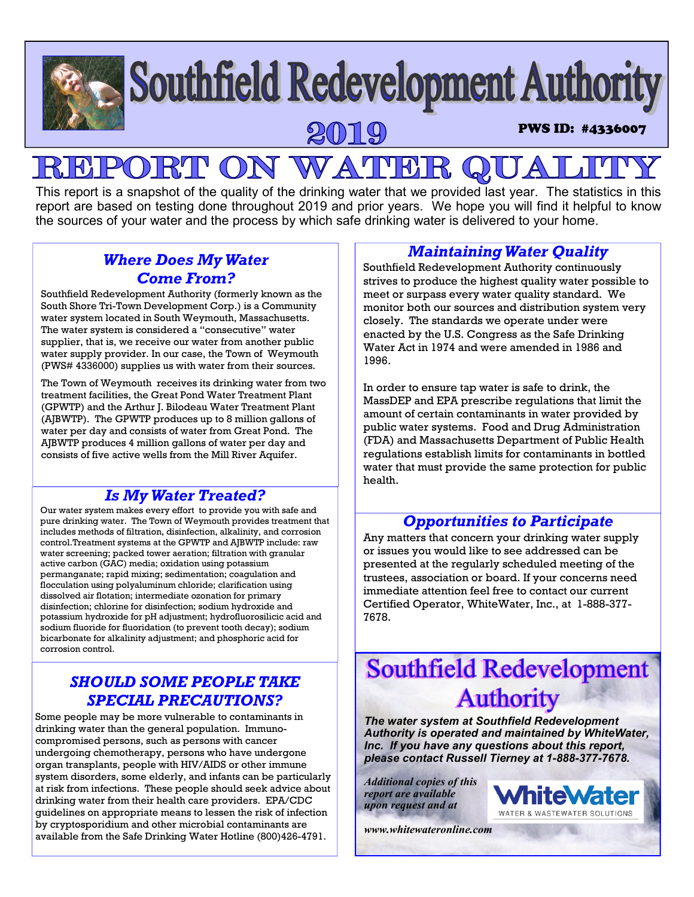

#### PORT ON WATEI  $R$ R.

This report is a snapshot of the quality of the drinking water that we provided last year. The statistics in this report are based on testing done throughout 2019 and prior years. We hope you will find it helpful to know the sources of your water and the process by which safe drinking water is delivered to your home.

### *Where Does My Water Come From?*

Southfield Redevelopment Authority (formerly known as the South Shore Tri-Town Development Corp.) is a Community water system located in South Weymouth, Massachusetts. The water system is considered a "consecutive" water supplier, that is, we receive our water from another public water supply provider. In our case, the Town of Weymouth (PWS# 4336000) supplies us with water from their sources.

The Town of Weymouth receives its drinking water from two treatment facilities, the Great Pond Water Treatment Plant (GPWTP) and the Arthur J. Bilodeau Water Treatment Plant (AJBWTP). The GPWTP produces up to 8 million gallons of water per day and consists of water from Great Pond. The AJBWTP produces 4 million gallons of water per day and consists of five active wells from the Mill River Aquifer.

### *Is My Water Treated?*

Our water system makes every effort to provide you with safe and pure drinking water. The Town of Weymouth provides treatment that includes methods of filtration, disinfection, alkalinity, and corrosion control.Treatment systems at the GPWTP and AJBWTP include: raw water screening; packed tower aeration; filtration with granular active carbon (GAC) media; oxidation using potassium permanganate; rapid mixing; sedimentation; coagulation and flocculation using polyaluminum chloride; clarification using dissolved air flotation; intermediate ozonation for primary disinfection; chlorine for disinfection; sodium hydroxide and potassium hydroxide for pH adjustment; hydrofluorosilicic acid and sodium fluoride for fluoridation (to prevent tooth decay); sodium bicarbonate for alkalinity adjustment; and phosphoric acid for corrosion control.

### *SHOULD SOME PEOPLE TAKE SPECIAL PRECAUTIONS?*

Some people may be more vulnerable to contaminants in drinking water than the general population. Immunocompromised persons, such as persons with cancer undergoing chemotherapy, persons who have undergone organ transplants, people with HIV/AIDS or other immune system disorders, some elderly, and infants can be particularly at risk from infections. These people should seek advice about drinking water from their health care providers. EPA/CDC guidelines on appropriate means to lessen the risk of infection by cryptosporidium and other microbial contaminants are available from the Safe Drinking Water Hotline (800)426-4791.

### *Maintaining Water Quality*

Southfield Redevelopment Authority continuously strives to produce the highest quality water possible to meet or surpass every water quality standard. We monitor both our sources and distribution system very closely. The standards we operate under were enacted by the U.S. Congress as the Safe Drinking Water Act in 1974 and were amended in 1986 and 1996.

In order to ensure tap water is safe to drink, the MassDEP and EPA prescribe regulations that limit the amount of certain contaminants in water provided by public water systems. Food and Drug Administration (FDA) and Massachusetts Department of Public Health regulations establish limits for contaminants in bottled water that must provide the same protection for public health.

### *Opportunities to Participate*

Any matters that concern your drinking water supply or issues you would like to see addressed can be presented at the regularly scheduled meeting of the trustees, association or board. If your concerns need immediate attention feel free to contact our current Certified Operator, WhiteWater, Inc., at 1-888-377- 7678.

# **Southfield Redevelopment Authority**

*The water system at Southfield Redevelopment Authority is operated and maintained by WhiteWater, Inc. If you have any questions about this report, please contact Russell Tierney at 1-888-377-7678.*

*Additional copies of this report are available upon request and at* 

*www.whitewateronline.com* 

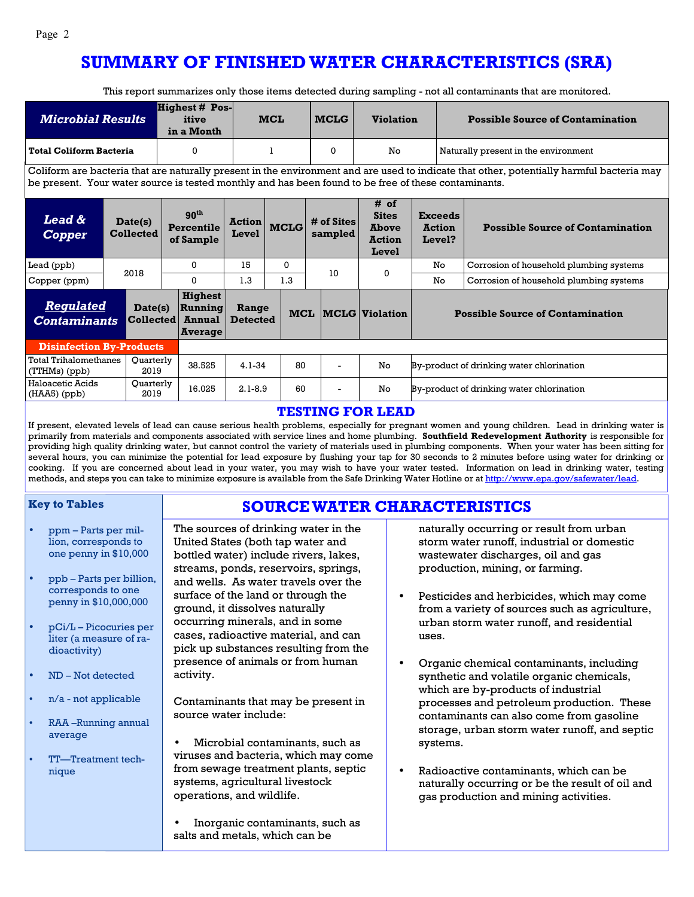## **SUMMARY OF FINISHED WATER CHARACTERISTICS (SRA)**

This report summarizes only those items detected during sampling - not all contaminants that are monitored.

| <b>Microbial Results</b>                                                                                                                                                                                                                          |      |                             | <b>Highest # Pos-</b><br>itive<br>in a Month          |                                             | <b>MCL</b>               |             | <b>MCLG</b> | <b>Violation</b>      |                                                                | <b>Possible Source of Contamination</b> |                                           |                                         |
|---------------------------------------------------------------------------------------------------------------------------------------------------------------------------------------------------------------------------------------------------|------|-----------------------------|-------------------------------------------------------|---------------------------------------------|--------------------------|-------------|-------------|-----------------------|----------------------------------------------------------------|-----------------------------------------|-------------------------------------------|-----------------------------------------|
| <b>Total Coliform Bacteria</b>                                                                                                                                                                                                                    |      |                             | $\mathbf{0}$                                          |                                             | 1                        |             |             | $\Omega$              | No                                                             |                                         | Naturally present in the environment      |                                         |
| Coliform are bacteria that are naturally present in the environment and are used to indicate that other, potentially harmful bacteria may<br>be present. Your water source is tested monthly and has been found to be free of these contaminants. |      |                             |                                                       |                                             |                          |             |             |                       |                                                                |                                         |                                           |                                         |
| <b>Lead &amp;</b><br><b>Copper</b>                                                                                                                                                                                                                |      | Date(s)<br>Collected        |                                                       | 90 <sup>th</sup><br>Percentile<br>of Sample | <b>Action</b><br>Level   | <b>MCLG</b> |             | # of Sites<br>sampled | # of<br><b>Sites</b><br><b>Above</b><br><b>Action</b><br>Level | <b>Action</b><br>Level?                 | <b>Exceeds</b>                            | <b>Possible Source of Contamination</b> |
| Lead (ppb)                                                                                                                                                                                                                                        | 2018 |                             |                                                       | $\Omega$                                    | 15                       |             | 0           | 10                    | 0                                                              | No                                      |                                           | Corrosion of household plumbing systems |
| Copper (ppm)                                                                                                                                                                                                                                      |      |                             | $\Omega$                                              |                                             | 1.3                      |             | 1.3         |                       |                                                                | No                                      |                                           | Corrosion of household plumbing systems |
| <b>Regulated</b><br><b>Contaminants</b>                                                                                                                                                                                                           |      | Date(s)<br><b>Collected</b> | <b>Highest</b><br>Running<br><b>Annual</b><br>Average |                                             | Range<br><b>Detected</b> |             | <b>MCL</b>  |                       | <b>MCLG</b> Violation                                          |                                         | <b>Possible Source of Contamination</b>   |                                         |
| <b>Disinfection By-Products</b>                                                                                                                                                                                                                   |      |                             |                                                       |                                             |                          |             |             |                       |                                                                |                                         |                                           |                                         |
| <b>Total Trihalomethanes</b><br>(TTHMs) (ppb)                                                                                                                                                                                                     |      | Ouarterly<br>2019           |                                                       | 38.525                                      | $4.1 - 34$               |             | 80          | $\blacksquare$        | No                                                             |                                         | By-product of drinking water chlorination |                                         |
| Haloacetic Acids<br>(HAA5) (ppb)                                                                                                                                                                                                                  |      | Quarterly<br>2019           | 16.025                                                |                                             | $2.1 - 8.9$              |             | 60          | $\blacksquare$        | No                                                             |                                         | By-product of drinking water chlorination |                                         |

### **TESTING FOR LEAD**

If present, elevated levels of lead can cause serious health problems, especially for pregnant women and young children. Lead in drinking water is primarily from materials and components associated with service lines and home plumbing. **Southfield Redevelopment Authority** is responsible for providing high quality drinking water, but cannot control the variety of materials used in plumbing components. When your water has been sitting for several hours, you can minimize the potential for lead exposure by flushing your tap for 30 seconds to 2 minutes before using water for drinking or cooking. If you are concerned about lead in your water, you may wish to have your water tested. Information on lead in drinking water, testing methods, and steps you can take to minimize exposure is available from the Safe Drinking Water Hotline or at http://www.epa.gov/safewater/lead.

#### **Key to Tables**

### **SOURCE WATER CHARACTERISTICS**

|  | ppm – Parts per mil-<br>lion, corresponds to<br>one penny in \$10,000   | The sourc<br>United Sta<br>bottled wa                |
|--|-------------------------------------------------------------------------|------------------------------------------------------|
|  | ppb – Parts per billion,<br>corresponds to one<br>penny in \$10,000,000 | streams, p<br>and wells.<br>surface of<br>ground, it |
|  | $pCi/L$ – Picocuries per<br>liter (a measure of ra-<br>dioactivity)     | occurring<br>cases, rad<br>pick up su<br>presence    |
|  | ND-Not detected                                                         | activity.                                            |
|  | n/a - not applicable                                                    | Contamin<br>source wa                                |
|  | RAA-Running annual<br>average                                           | Micro.                                               |
|  | TT-Treatment tech-<br>nique                                             | viruses an<br>from sewa<br>systems, a                |
|  |                                                                         |                                                      |

es of drinking water in the tes (both tap water and ater) include rivers, lakes, onds, reservoirs, springs, As water travels over the the land or through the dissolves naturally minerals, and in some ioactive material, and can bstances resulting from the of animals or from human

ants that may be present in ter include:

bial contaminants, such as d bacteria, which may come ge treatment plants, septic agricultural livestock operations, and wildlife.

• Inorganic contaminants, such as salts and metals, which can be

naturally occurring or result from urban storm water runoff, industrial or domestic wastewater discharges, oil and gas production, mining, or farming.

- Pesticides and herbicides, which may come from a variety of sources such as agriculture, urban storm water runoff, and residential uses.
- Organic chemical contaminants, including synthetic and volatile organic chemicals, which are by-products of industrial processes and petroleum production. These contaminants can also come from gasoline storage, urban storm water runoff, and septic systems.
- Radioactive contaminants, which can be naturally occurring or be the result of oil and gas production and mining activities.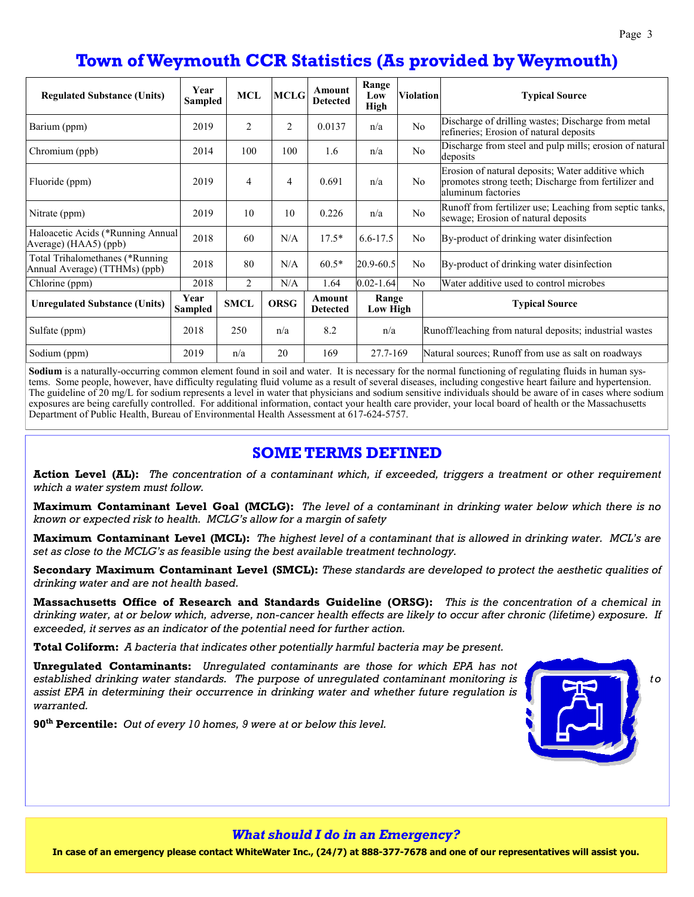# **Town of Weymouth CCR Statistics (As provided by Weymouth)**

| <b>Regulated Substance (Units)</b>                               | Year<br><b>Sampled</b> | <b>MCL</b>     | <b>MCLG</b> | Amount<br><b>Detected</b> | Range<br>Low<br>High | <b>Violation</b> | <b>Typical Source</b>                                                                                                           |  |
|------------------------------------------------------------------|------------------------|----------------|-------------|---------------------------|----------------------|------------------|---------------------------------------------------------------------------------------------------------------------------------|--|
| Barium (ppm)                                                     | 2019                   | 2              | 2           | 0.0137                    | n/a                  | N <sub>o</sub>   | Discharge of drilling wastes; Discharge from metal<br>refineries; Erosion of natural deposits                                   |  |
| Chromium (ppb)                                                   | 2014                   | 100            | 100         | 1.6                       | n/a                  | N <sub>o</sub>   | Discharge from steel and pulp mills; erosion of natural<br>deposits                                                             |  |
| Fluoride (ppm)                                                   | 2019                   | 4              | 4           | 0.691                     | n/a                  | N <sub>o</sub>   | Erosion of natural deposits; Water additive which<br>promotes strong teeth; Discharge from fertilizer and<br>aluminum factories |  |
| Nitrate (ppm)                                                    | 2019                   | 10             | 10          | 0.226                     | n/a                  | N <sub>o</sub>   | Runoff from fertilizer use; Leaching from septic tanks,<br>sewage; Erosion of natural deposits                                  |  |
| Haloacetic Acids (*Running Annual<br>Average) (HAA5) (ppb)       | 2018                   | 60             | N/A         | $17.5*$                   | $6.6 - 17.5$         | N <sub>o</sub>   | By-product of drinking water disinfection                                                                                       |  |
| Total Trihalomethanes (*Running<br>Annual Average) (TTHMs) (ppb) | 2018                   | 80             | N/A         | $60.5*$                   | 20.9-60.5            | No               | By-product of drinking water disinfection                                                                                       |  |
| Chlorine (ppm)                                                   | 2018                   | $\overline{c}$ | N/A         |                           | $0.02 - 1.64$        | No               | Water additive used to control microbes                                                                                         |  |
| <b>Unregulated Substance (Units)</b>                             | Year<br>Sampled        | <b>SMCL</b>    | <b>ORSG</b> | Amount<br><b>Detected</b> | Range<br>Low High    |                  | <b>Typical Source</b>                                                                                                           |  |
| Sulfate (ppm)                                                    | 2018                   | 250            | n/a         | 8.2                       | n/a                  |                  | Runoff/leaching from natural deposits; industrial wastes                                                                        |  |
| Sodium (ppm)                                                     | 2019                   | n/a            | 20          | 169                       | 27.7-169             |                  | Natural sources; Runoff from use as salt on roadways                                                                            |  |

**Sodium** is a naturally-occurring common element found in soil and water. It is necessary for the normal functioning of regulating fluids in human systems. Some people, however, have difficulty regulating fluid volume as a result of several diseases, including congestive heart failure and hypertension. The guideline of 20 mg/L for sodium represents a level in water that physicians and sodium sensitive individuals should be aware of in cases where sodium exposures are being carefully controlled. For additional information, contact your health care provider, your local board of health or the Massachusetts Department of Public Health, Bureau of Environmental Health Assessment at 617-624-5757.

### **SOME TERMS DEFINED**

**Action Level (AL):** *The concentration of a contaminant which, if exceeded, triggers a treatment or other requirement which a water system must follow.* 

**Maximum Contaminant Level Goal (MCLG):** *The level of a contaminant in drinking water below which there is no known or expected risk to health. MCLG's allow for a margin of safety* 

**Maximum Contaminant Level (MCL):** *The highest level of a contaminant that is allowed in drinking water. MCL's are set as close to the MCLG's as feasible using the best available treatment technology.* 

**Secondary Maximum Contaminant Level (SMCL):** *These standards are developed to protect the aesthetic qualities of drinking water and are not health based.* 

**Massachusetts Office of Research and Standards Guideline (ORSG):** *This is the concentration of a chemical in drinking water, at or below which, adverse, non-cancer health effects are likely to occur after chronic (lifetime) exposure. If exceeded, it serves as an indicator of the potential need for further action.* 

**Total Coliform:** *A bacteria that indicates other potentially harmful bacteria may be present.* 

**Unregulated Contaminants:** *Unregulated contaminants are those for which EPA has not*  established drinking water standards. The purpose of unregulated contaminant monitoring is **the standard of the oriental** to *assist EPA in determining their occurrence in drinking water and whether future regulation is warranted.* 

**90th Percentile:** *Out of every 10 homes, 9 were at or below this level.*

*What should I do in an Emergency?*  **In case of an emergency please contact WhiteWater Inc., (24/7) at 888-377-7678 and one of our representatives will assist you.**